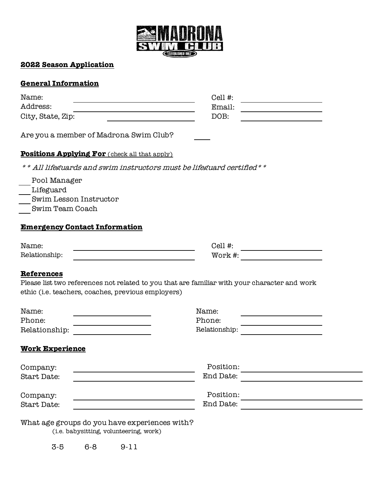

## **2022 Season Application**

# **General Information**

| Name:                                                                                   | Cell #:                                                                                      |
|-----------------------------------------------------------------------------------------|----------------------------------------------------------------------------------------------|
| Address:                                                                                | Email:                                                                                       |
| City, State, Zip:                                                                       | DOB:                                                                                         |
| Are you a member of Madrona Swim Club?                                                  |                                                                                              |
| <b>Positions Applying For</b> (check all that apply)                                    |                                                                                              |
|                                                                                         | All lifeguards and swim instructors must be lifeguard certified * *                          |
| Pool Manager                                                                            |                                                                                              |
| Lifeguard                                                                               |                                                                                              |
| Swim Lesson Instructor                                                                  |                                                                                              |
| Swim Team Coach                                                                         |                                                                                              |
| <b>Emergency Contact Information</b>                                                    |                                                                                              |
| Name:                                                                                   | Cell $#$ :                                                                                   |
| Relationship:                                                                           | Work #:                                                                                      |
| <b>References</b><br>ethic (i.e. teachers, coaches, previous employers)                 | Please list two references not related to you that are familiar with your character and work |
| Name:                                                                                   | Name:                                                                                        |
| Phone:                                                                                  | Phone:                                                                                       |
| Relationship:                                                                           | Relationship:                                                                                |
| <b>Work Experience</b>                                                                  |                                                                                              |
| Company:                                                                                | Position:                                                                                    |
| Start Date:                                                                             | End Date:                                                                                    |
| Company:                                                                                | Position:                                                                                    |
| Start Date:                                                                             | End Date:                                                                                    |
| What age groups do you have experiences with?<br>(i.e. babysitting, volunteering, work) |                                                                                              |

3-5 6-8 9-11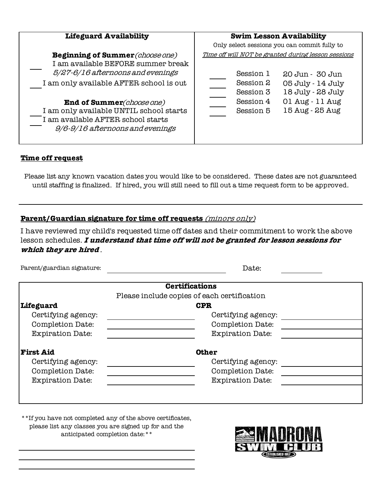| <b>Lifeguard Availability</b>                                                                                                                                                                                                  | <b>Swim Lesson Availability</b>                                                                                                                                  |
|--------------------------------------------------------------------------------------------------------------------------------------------------------------------------------------------------------------------------------|------------------------------------------------------------------------------------------------------------------------------------------------------------------|
| <b>Beginning of Summer</b> (choose one)<br>I am available BEFORE summer break                                                                                                                                                  | Only select sessions you can commit fully to<br>Time off will NOT be granted during lesson sessions                                                              |
| 5/27-6/16 afternoons and evenings<br>I am only available AFTER school is out<br>End of Summer(choose one)<br>I am only available UNTIL school starts<br>I am available AFTER school starts<br>9/6-9/16 afternoons and evenings | Session 1<br>20 Jun - 30 Jun<br>Session 2<br>05 July - 14 July<br>18 July - 28 July<br>Session 3<br>01 Aug - 11 Aug<br>Session 4<br>15 Aug - 25 Aug<br>Session 5 |

#### **Time off request**

Please list any known vacation dates you would like to be considered. These dates are not guaranteed until staffing is finalized. If hired, you will still need to fill out a time request form to be approved.

## **Parent/Guardian signature for time off requests** (minors only)

I have reviewed my child's requested time off dates and their commitment to work the above lesson schedules. **I understand that time off will not be granted for lesson sessions for which they are hired** .

|                         | <b>Certifications</b>                       |
|-------------------------|---------------------------------------------|
|                         | Please include copies of each certification |
| Lifeguard               | <b>CPR</b>                                  |
| Certifying agency:      | Certifying agency:                          |
| Completion Date:        | Completion Date:                            |
| <b>Expiration Date:</b> | <b>Expiration Date:</b>                     |
|                         |                                             |
| <b>First Aid</b>        | <b>Other</b>                                |
| Certifying agency:      | Certifying agency:                          |
| Completion Date:        | Completion Date:                            |
| <b>Expiration Date:</b> | <b>Expiration Date:</b>                     |
|                         |                                             |
|                         |                                             |

\*\*If you have not completed any of the above certificates, please list any classes you are signed up for and the anticipated completion date:\*\*